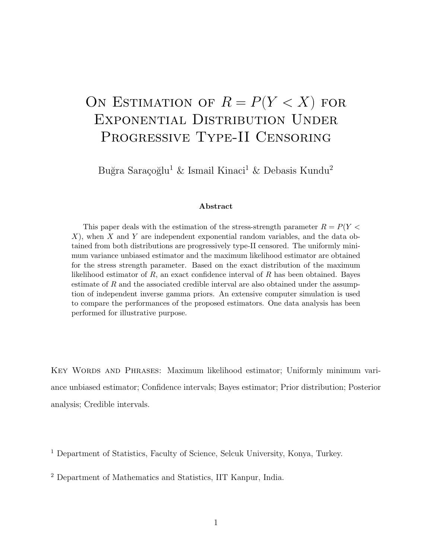# ON ESTIMATION OF  $R = P(Y < X)$  for Exponential Distribution Under Progressive Type-II Censoring

Buğra Saraçoğlu<sup>1</sup> & Ismail Kinaci<sup>1</sup> & Debasis Kundu<sup>2</sup>

#### Abstract

This paper deals with the estimation of the stress-strength parameter  $R = P(Y \leq$  $X$ ), when X and Y are independent exponential random variables, and the data obtained from both distributions are progressively type-II censored. The uniformly minimum variance unbiased estimator and the maximum likelihood estimator are obtained for the stress strength parameter. Based on the exact distribution of the maximum likelihood estimator of  $R$ , an exact confidence interval of  $R$  has been obtained. Bayes estimate of R and the associated credible interval are also obtained under the assumption of independent inverse gamma priors. An extensive computer simulation is used to compare the performances of the proposed estimators. One data analysis has been performed for illustrative purpose.

Key Words and Phrases: Maximum likelihood estimator; Uniformly minimum variance unbiased estimator; Confidence intervals; Bayes estimator; Prior distribution; Posterior analysis; Credible intervals.

<sup>1</sup> Department of Statistics, Faculty of Science, Selcuk University, Konya, Turkey.

<sup>2</sup> Department of Mathematics and Statistics, IIT Kanpur, India.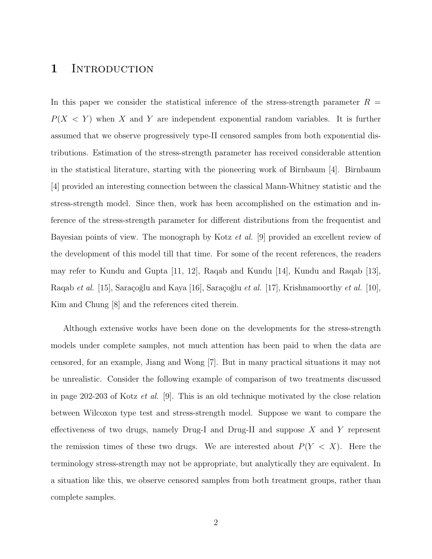### 1 INTRODUCTION

In this paper we consider the statistical inference of the stress-strength parameter  $R =$  $P(X \leq Y)$  when X and Y are independent exponential random variables. It is further assumed that we observe progressively type-II censored samples from both exponential distributions. Estimation of the stress-strength parameter has received considerable attention in the statistical literature, starting with the pioneering work of Birnbaum [4]. Birnbaum [4] provided an interesting connection between the classical Mann-Whitney statistic and the stress-strength model. Since then, work has been accomplished on the estimation and inference of the stress-strength parameter for different distributions from the frequentist and Bayesian points of view. The monograph by Kotz et al. [9] provided an excellent review of the development of this model till that time. For some of the recent references, the readers may refer to Kundu and Gupta [11, 12], Raqab and Kundu [14], Kundu and Raqab [13], Raqab et al. [15], Saraçoğlu and Kaya [16], Saraçoğlu et al. [17], Krishnamoorthy et al. [10], Kim and Chung [8] and the references cited therein.

Although extensive works have been done on the developments for the stress-strength models under complete samples, not much attention has been paid to when the data are censored, for an example, Jiang and Wong [7]. But in many practical situations it may not be unrealistic. Consider the following example of comparison of two treatments discussed in page 202-203 of Kotz et al. [9]. This is an old technique motivated by the close relation between Wilcoxon type test and stress-strength model. Suppose we want to compare the effectiveness of two drugs, namely Drug-I and Drug-II and suppose  $X$  and  $Y$  represent the remission times of these two drugs. We are interested about  $P(Y < X)$ . Here the terminology stress-strength may not be appropriate, but analytically they are equivalent. In a situation like this, we observe censored samples from both treatment groups, rather than complete samples.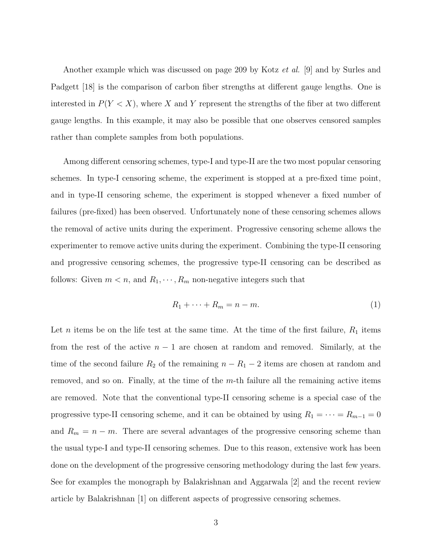Another example which was discussed on page 209 by Kotz *et al.* [9] and by Surles and Padgett [18] is the comparison of carbon fiber strengths at different gauge lengths. One is interested in  $P(Y < X)$ , where X and Y represent the strengths of the fiber at two different gauge lengths. In this example, it may also be possible that one observes censored samples rather than complete samples from both populations.

Among different censoring schemes, type-I and type-II are the two most popular censoring schemes. In type-I censoring scheme, the experiment is stopped at a pre-fixed time point, and in type-II censoring scheme, the experiment is stopped whenever a fixed number of failures (pre-fixed) has been observed. Unfortunately none of these censoring schemes allows the removal of active units during the experiment. Progressive censoring scheme allows the experimenter to remove active units during the experiment. Combining the type-II censoring and progressive censoring schemes, the progressive type-II censoring can be described as follows: Given  $m < n$ , and  $R_1, \dots, R_m$  non-negative integers such that

$$
R_1 + \dots + R_m = n - m. \tag{1}
$$

Let *n* items be on the life test at the same time. At the time of the first failure,  $R_1$  items from the rest of the active  $n-1$  are chosen at random and removed. Similarly, at the time of the second failure  $R_2$  of the remaining  $n - R_1 - 2$  items are chosen at random and removed, and so on. Finally, at the time of the  $m$ -th failure all the remaining active items are removed. Note that the conventional type-II censoring scheme is a special case of the progressive type-II censoring scheme, and it can be obtained by using  $R_1 = \cdots = R_{m-1} = 0$ and  $R_m = n - m$ . There are several advantages of the progressive censoring scheme than the usual type-I and type-II censoring schemes. Due to this reason, extensive work has been done on the development of the progressive censoring methodology during the last few years. See for examples the monograph by Balakrishnan and Aggarwala [2] and the recent review article by Balakrishnan [1] on different aspects of progressive censoring schemes.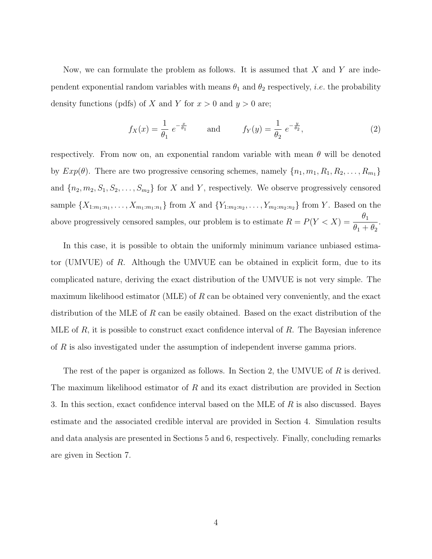Now, we can formulate the problem as follows. It is assumed that  $X$  and  $Y$  are independent exponential random variables with means  $\theta_1$  and  $\theta_2$  respectively, *i.e.* the probability density functions (pdfs) of X and Y for  $x > 0$  and  $y > 0$  are;

$$
f_X(x) = \frac{1}{\theta_1} e^{-\frac{x}{\theta_1}}
$$
 and  $f_Y(y) = \frac{1}{\theta_2} e^{-\frac{y}{\theta_2}},$  (2)

respectively. From now on, an exponential random variable with mean  $\theta$  will be denoted by  $Exp(\theta)$ . There are two progressive censoring schemes, namely  $\{n_1, m_1, R_1, R_2, \ldots, R_{m_1}\}\$ and  ${n_2, m_2, S_1, S_2, \ldots, S_{m_2}}$  for X and Y, respectively. We observe progressively censored sample  $\{X_{1:m_1:n_1}, \ldots, X_{m_1:m_1:n_1}\}$  from X and  $\{Y_{1:m_2:n_2}, \ldots, Y_{m_2:m_2:n_2}\}$  from Y. Based on the above progressively censored samples, our problem is to estimate  $R = P(Y < X) = \frac{\theta_1}{\theta_1}$  $\theta_1 + \theta_2$ .

In this case, it is possible to obtain the uniformly minimum variance unbiased estimator (UMVUE) of R. Although the UMVUE can be obtained in explicit form, due to its complicated nature, deriving the exact distribution of the UMVUE is not very simple. The maximum likelihood estimator (MLE) of  $R$  can be obtained very conveniently, and the exact distribution of the MLE of R can be easily obtained. Based on the exact distribution of the MLE of R, it is possible to construct exact confidence interval of R. The Bayesian inference of R is also investigated under the assumption of independent inverse gamma priors.

The rest of the paper is organized as follows. In Section 2, the UMVUE of  $R$  is derived. The maximum likelihood estimator of R and its exact distribution are provided in Section 3. In this section, exact confidence interval based on the MLE of R is also discussed. Bayes estimate and the associated credible interval are provided in Section 4. Simulation results and data analysis are presented in Sections 5 and 6, respectively. Finally, concluding remarks are given in Section 7.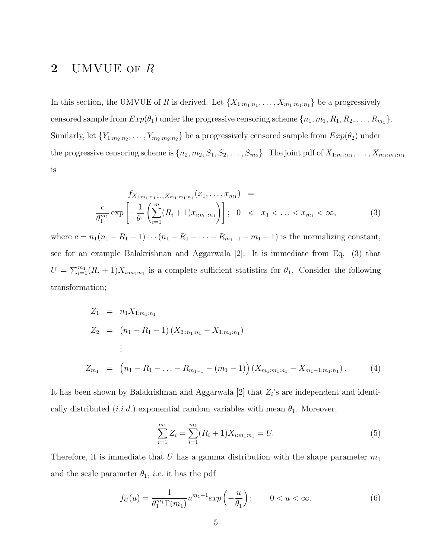# 2 UMVUE OF R

In this section, the UMVUE of R is derived. Let  $\{X_{1:m_1:n_1}, \ldots, X_{m_1:m_1:n_1}\}$  be a progressively censored sample from  $Exp(\theta_1)$  under the progressive censoring scheme  $\{n_1, m_1, R_1, R_2, \ldots, R_{m_1}\}.$ Similarly, let  ${Y_{1:m_2:n_2}, \ldots, Y_{m_2:m_2:n_2}}$  be a progressively censored sample from  $Exp(\theta_2)$  under the progressive censoring scheme is  $\{n_2, m_2, S_1, S_2, \ldots, S_{m_2}\}$ . The joint pdf of  $X_{1:m_1:n_1}, \ldots, X_{m_1:m_1:n_1}$ is

$$
f_{X_{1:m_1:n_1},...,X_{m_1:m_1:n_1}}(x_1,...,x_{m_1}) =
$$
  
\n
$$
\frac{c}{\theta_1^{m_1}} \exp\left[-\frac{1}{\theta_1} \left(\sum_{i=1}^m (R_i+1)x_{i:m_1:n_1}\right)\right]; \quad 0 < x_1 < ... < x_{m_1} < \infty,
$$
\n(3)

where  $c = n_1(n_1 - R_1 - 1) \cdots (n_1 - R_1 - \cdots - R_{m_1-1} - m_1 + 1)$  is the normalizing constant, see for an example Balakrishnan and Aggarwala [2]. It is immediate from Eq. (3) that  $U = \sum_{i=1}^{m_1} (R_i + 1) X_{i:m_1:n_1}$  is a complete sufficient statistics for  $\theta_1$ . Consider the following transformation;

$$
Z_1 = n_1 X_{1:m_1:n_1}
$$
  
\n
$$
Z_2 = (n_1 - R_1 - 1) (X_{2:m_1:n_1} - X_{1:m_1:n_1})
$$
  
\n
$$
\vdots
$$
  
\n
$$
Z_{m_1} = (n_1 - R_1 - ... - R_{m_{1-1}} - (m_1 - 1)) (X_{m_1:m_1:n_1} - X_{m_1-1:m_1:n_1}).
$$
\n(4)

It has been shown by Balakrishnan and Aggarwala  $[2]$  that  $Z_i$ 's are independent and identically distributed  $(i.i.d.)$  exponential random variables with mean  $\theta_1$ . Moreover,

$$
\sum_{i=1}^{m_1} Z_i = \sum_{i=1}^{m_1} (R_i + 1) X_{i:m_1:n_1} = U.
$$
\n(5)

Therefore, it is immediate that  $U$  has a gamma distribution with the shape parameter  $m_1$ and the scale parameter  $\theta_1$ , *i.e.* it has the pdf

$$
f_U(u) = \frac{1}{\theta_1^{m_1} \Gamma(m_1)} u^{m_1 - 1} \exp\left(-\frac{u}{\theta_1}\right); \qquad 0 < u < \infty. \tag{6}
$$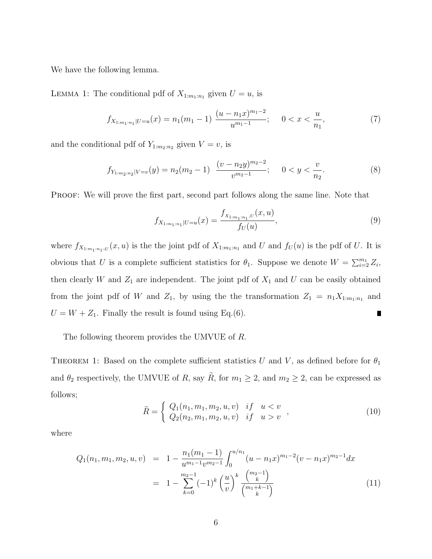We have the following lemma.

LEMMA 1: The conditional pdf of  $X_{1:m_1:n_1}$  given  $U = u$ , is

$$
f_{X_{1:m_1:n_1}|U=u}(x) = n_1(m_1 - 1) \frac{(u - n_1x)^{m_1 - 2}}{u^{m_1 - 1}}; \quad 0 < x < \frac{u}{n_1},\tag{7}
$$

and the conditional pdf of  $Y_{1:m_2:n_2}$  given  $V = v$ , is

$$
f_{Y_{1:m_2:n_2}|V=v}(y) = n_2(m_2-1) \frac{(v - n_2y)^{m_2-2}}{v^{m_2-1}}; \quad 0 < y < \frac{v}{n_2}.\tag{8}
$$

PROOF: We will prove the first part, second part follows along the same line. Note that

$$
f_{X_{1:m_1:n_1}|U=u}(x) = \frac{f_{X_{1:m_1:n_1},U}(x,u)}{f_U(u)},
$$
\n(9)

where  $f_{X_{1:m_1:n_1},U}(x,u)$  is the the joint pdf of  $X_{1:m_1:n_1}$  and U and  $f_U(u)$  is the pdf of U. It is obvious that U is a complete sufficient statistics for  $\theta_1$ . Suppose we denote  $W = \sum_{i=2}^{m_1} Z_i$ , then clearly W and  $Z_1$  are independent. The joint pdf of  $X_1$  and U can be easily obtained from the joint pdf of W and  $Z_1$ , by using the the transformation  $Z_1 = n_1 X_{1:m_1:n_1}$  and  $U = W + Z_1$ . Finally the result is found using Eq.(6).  $\blacksquare$ 

The following theorem provides the UMVUE of R.

THEOREM 1: Based on the complete sufficient statistics U and V, as defined before for  $\theta_1$ and  $\theta_2$  respectively, the UMVUE of R, say  $\widetilde{R}$ , for  $m_1 \geq 2$ , and  $m_2 \geq 2$ , can be expressed as follows;

$$
\tilde{R} = \begin{cases}\nQ_1(n_1, m_1, m_2, u, v) & \text{if } u < v \\
Q_2(n_2, m_1, m_2, u, v) & \text{if } u > v\n\end{cases},\n\tag{10}
$$

where

$$
Q_1(n_1, m_1, m_2, u, v) = 1 - \frac{n_1(m_1 - 1)}{u^{m_1 - 1} v^{m_2 - 1}} \int_0^{u/n_1} (u - n_1 x)^{m_1 - 2} (v - n_1 x)^{m_2 - 1} dx
$$
  

$$
= 1 - \sum_{k=0}^{m_2 - 1} (-1)^k \left(\frac{u}{v}\right)^k \frac{\binom{m_2 - 1}{k}}{\binom{m_1 + k - 1}{k}}
$$
(11)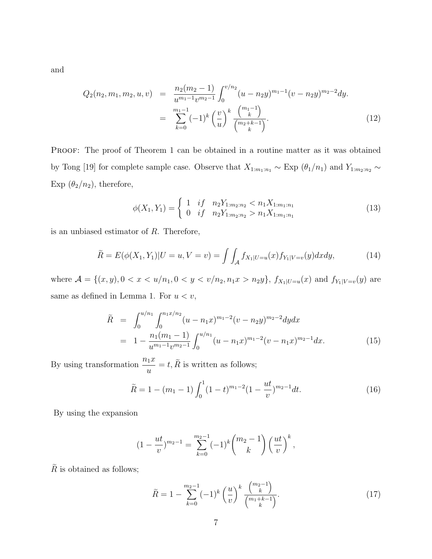and

$$
Q_2(n_2, m_1, m_2, u, v) = \frac{n_2(m_2 - 1)}{u^{m_1 - 1}v^{m_2 - 1}} \int_0^{v/n_2} (u - n_2 y)^{m_1 - 1} (v - n_2 y)^{m_2 - 2} dy.
$$
  

$$
= \sum_{k=0}^{m_1 - 1} (-1)^k \left(\frac{v}{u}\right)^k \frac{\binom{m_1 - 1}{k}}{\binom{m_2 + k - 1}{k}}.
$$
 (12)

PROOF: The proof of Theorem 1 can be obtained in a routine matter as it was obtained by Tong [19] for complete sample case. Observe that  $X_{1:m_1:n_1} \sim \text{Exp}(\theta_1/n_1)$  and  $Y_{1:m_2:n_2} \sim$ Exp  $(\theta_2/n_2)$ , therefore,

$$
\phi(X_1, Y_1) = \begin{cases} 1 & \text{if } n_2 Y_{1:m_2:n_2} < n_1 X_{1:m_1:n_1} \\ 0 & \text{if } n_2 Y_{1:m_2:n_2} > n_1 X_{1:m_1:n_1} \end{cases} \tag{13}
$$

is an unbiased estimator of R. Therefore,

$$
\tilde{R} = E(\phi(X_1, Y_1)|U = u, V = v) = \int \int_{\mathcal{A}} f_{X_1|U=u}(x) f_{Y_1|V=v}(y) dx dy, \tag{14}
$$

where  $\mathcal{A} = \{(x, y), 0 < x < u/n_1, 0 < y < v/n_2, n_1x > n_2y\}$ ,  $f_{X_1|U=u}(x)$  and  $f_{Y_1|V=v}(y)$  are same as defined in Lemma 1. For  $u < v$ ,

$$
\tilde{R} = \int_0^{u/n_1} \int_0^{n_1 x/n_2} (u - n_1 x)^{m_1 - 2} (v - n_2 y)^{m_2 - 2} dy dx
$$
  
= 
$$
1 - \frac{n_1(m_1 - 1)}{u^{m_1 - 1} v^{m_2 - 1}} \int_0^{u/n_1} (u - n_1 x)^{m_1 - 2} (v - n_1 x)^{m_2 - 1} dx.
$$
 (15)

By using transformation  $\frac{n_1x}{n_1x}$  $\frac{d^2u}{dt} = t, R$  is written as follows;

$$
\widetilde{R} = 1 - (m_1 - 1) \int_0^1 (1 - t)^{m_1 - 2} (1 - \frac{ut}{v})^{m_2 - 1} dt.
$$
\n(16)

By using the expansion

$$
(1 - \frac{ut}{v})^{m_2 - 1} = \sum_{k=0}^{m_2 - 1} (-1)^k {m_2 - 1 \choose k} \left(\frac{ut}{v}\right)^k,
$$

 $\widetilde{R}$  is obtained as follows;

$$
\tilde{R} = 1 - \sum_{k=0}^{m_2 - 1} (-1)^k \left(\frac{u}{v}\right)^k \frac{\binom{m_2 - 1}{k}}{\binom{m_1 + k - 1}{k}}.
$$
\n(17)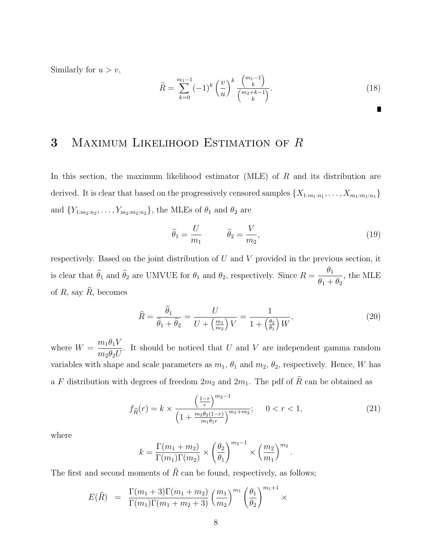Similarly for  $u > v$ ,

$$
\widetilde{R} = \sum_{k=0}^{m_1 - 1} (-1)^k \left(\frac{v}{u}\right)^k \frac{\binom{m_1 - 1}{k}}{\binom{m_2 + k - 1}{k}}.
$$
\n(18)

# 3 MAXIMUM LIKELIHOOD ESTIMATION OF R

In this section, the maximum likelihood estimator (MLE) of  $R$  and its distribution are derived. It is clear that based on the progressively censored samples  $\{X_{1:m_1:n_1}, \ldots, X_{m_1:m_1:n_1}\}$ and  ${Y_{1:m_2:n_2}, \ldots, Y_{m_2:m_2:n_2}}$ , the MLEs of  $\theta_1$  and  $\theta_2$  are

$$
\widehat{\theta}_1 = \frac{U}{m_1} \qquad \widehat{\theta}_2 = \frac{V}{m_2},\tag{19}
$$

respectively. Based on the joint distribution of  $U$  and  $V$  provided in the previous section, it is clear that  $\theta_1$  and  $\theta_2$  are UMVUE for  $\theta_1$  and  $\theta_2$ , respectively. Since  $R =$  $\theta_1$  $\theta_1 + \theta_2$ , the MLE of R, say  $\hat{R}$ , becomes

$$
\widehat{R} = \frac{\widehat{\theta}_1}{\widehat{\theta}_1 + \widehat{\theta}_2} = \frac{U}{U + \left(\frac{m_1}{m_2}\right)V} = \frac{1}{1 + \left(\frac{\theta_2}{\theta_1}\right)W},\tag{20}
$$

where  $W = \frac{m_1 \theta_1 V}{a V}$  $m_2\theta_2U$ . It should be noticed that  $U$  and  $V$  are independent gamma random variables with shape and scale parameters as  $m_1$ ,  $\theta_1$  and  $m_2$ ,  $\theta_2$ , respectively. Hence, W has a F distribution with degrees of freedom  $2m_2$  and  $2m_1$ . The pdf of  $\widehat{R}$  can be obtained as

$$
f_{\widehat{R}}(r) = k \times \frac{\left(\frac{1-r}{r}\right)^{m_2 - 1}}{\left(1 + \frac{m_2 \theta_2 (1-r)}{m_1 \theta_1 r}\right)^{m_1 + m_2}}; \quad 0 < r < 1,\tag{21}
$$

where

$$
k = \frac{\Gamma(m_1 + m_2)}{\Gamma(m_1)\Gamma(m_2)} \times \left(\frac{\theta_2}{\theta_1}\right)^{m_2 - 1} \times \left(\frac{m_2}{m_1}\right)^{m_2}.
$$

The first and second moments of  $\hat{R}$  can be found, respectively, as follows;

$$
E(\hat{R}) = \frac{\Gamma(m_1 + 3)\Gamma(m_1 + m_2)}{\Gamma(m_1)\Gamma(m_1 + m_2 + 3)} \left(\frac{m_1}{m_2}\right)^{m_1} \left(\frac{\theta_1}{\theta_2}\right)^{m_1 + 1} \times
$$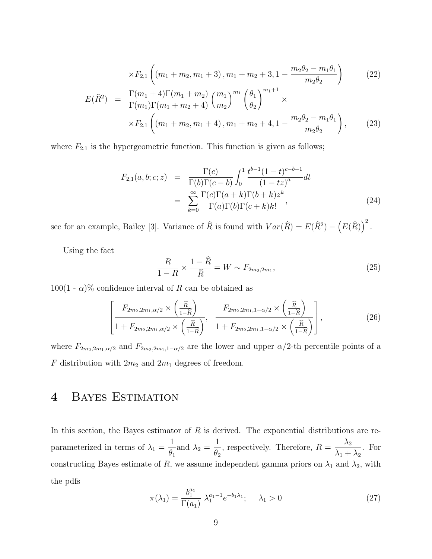$$
\times F_{2,1}\left((m_1 + m_2, m_1 + 3), m_1 + m_2 + 3, 1 - \frac{m_2\theta_2 - m_1\theta_1}{m_2\theta_2}\right)
$$
\n
$$
E(\widehat{R}^2) = \frac{\Gamma(m_1 + 4)\Gamma(m_1 + m_2)}{\Gamma(m_1)\Gamma(m_1 + m_2 + 4)} \left(\frac{m_1}{m_2}\right)^{m_1} \left(\frac{\theta_1}{\theta_2}\right)^{m_1+1} \times \times F_{2,1}\left((m_1 + m_2, m_1 + 4), m_1 + m_2 + 4, 1 - \frac{m_2\theta_2 - m_1\theta_1}{m_2\theta_2}\right),
$$
\n(23)

where  $F_{2,1}$  is the hypergeometric function. This function is given as follows;

$$
F_{2,1}(a,b;c;z) = \frac{\Gamma(c)}{\Gamma(b)\Gamma(c-b)} \int_0^1 \frac{t^{b-1}(1-t)^{c-b-1}}{(1-tz)^a} dt
$$
  
= 
$$
\sum_{k=0}^{\infty} \frac{\Gamma(c)\Gamma(a+k)\Gamma(b+k)z^k}{\Gamma(a)\Gamma(b)\Gamma(c+k)k!},
$$
 (24)

see for an example, Bailey [3]. Variance of  $\widehat{R}$  is found with  $Var(\widehat{R}) = E(\widehat{R}^2) - (E(\widehat{R}))^2$ .

Using the fact

$$
\frac{R}{1-R} \times \frac{1-\hat{R}}{\hat{R}} = W \sim F_{2m_2,2m_1},\tag{25}
$$

 $100(1 - \alpha)\%$  confidence interval of R can be obtained as

$$
\left[\frac{F_{2m_2,2m_1,\alpha/2}\times\left(\frac{\widehat{R}}{1-\widehat{R}}\right)}{1+F_{2m_2,2m_1,\alpha/2}\times\left(\frac{\widehat{R}}{1-\widehat{R}}\right)},\frac{F_{2m_2,2m_1,1-\alpha/2}\times\left(\frac{\widehat{R}}{1-\widehat{R}}\right)}{1+F_{2m_2,2m_1,1-\alpha/2}\times\left(\frac{\widehat{R}}{1-\widehat{R}}\right)}\right],
$$
\n(26)

where  $F_{2m_2,2m_1,\alpha/2}$  and  $F_{2m_2,2m_1,1-\alpha/2}$  are the lower and upper  $\alpha/2$ -th percentile points of a  $F$  distribution with  $2m_2$  and  $2m_1$  degrees of freedom.

# 4 Bayes Estimation

In this section, the Bayes estimator of  $R$  is derived. The exponential distributions are reparameterized in terms of  $\lambda_1 =$ 1  $\theta_1$ and  $\lambda_2 =$ 1  $\theta_2$ , respectively. Therefore,  $R = \frac{\lambda_2}{\lambda_1}$  $\lambda_1 + \lambda_2$ . For constructing Bayes estimate of R, we assume independent gamma priors on  $\lambda_1$  and  $\lambda_2$ , with the pdfs

$$
\pi(\lambda_1) = \frac{b_1^{a_1}}{\Gamma(a_1)} \ \lambda_1^{a_1 - 1} e^{-b_1 \lambda_1}; \quad \lambda_1 > 0 \tag{27}
$$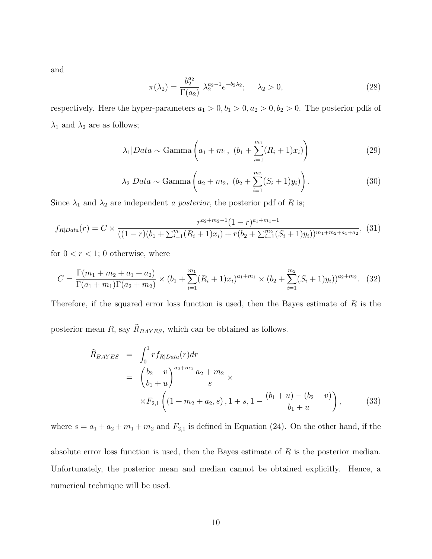and

$$
\pi(\lambda_2) = \frac{b_2^{a_2}}{\Gamma(a_2)} \ \lambda_2^{a_2 - 1} e^{-b_2 \lambda_2}; \quad \lambda_2 > 0,
$$
\n(28)

respectively. Here the hyper-parameters  $a_1 > 0, b_1 > 0, a_2 > 0, b_2 > 0$ . The posterior pdfs of  $\lambda_1$  and  $\lambda_2$  are as follows;

$$
\lambda_1 | Data \sim \text{Gamma}\left(a_1 + m_1, (b_1 + \sum_{i=1}^{m_1} (R_i + 1)x_i)\right)
$$
 (29)

$$
\lambda_2|Data \sim \text{Gamma}\left(a_2 + m_2, (b_2 + \sum_{i=1}^{m_2} (S_i + 1)y_i)\right).
$$
 (30)

Since  $\lambda_1$  and  $\lambda_2$  are independent *a posterior*, the posterior pdf of *R* is;

$$
f_{R|Data}(r) = C \times \frac{r^{a_2 + m_2 - 1} (1 - r)^{a_1 + m_1 - 1}}{((1 - r)(b_1 + \sum_{i=1}^{m_1} (R_i + 1)x_i) + r(b_2 + \sum_{i=1}^{m_2} (S_i + 1)y_i))^{m_1 + m_2 + a_1 + a_2}},
$$
(31)

for  $0 < r < 1$ ; 0 otherwise, where

$$
C = \frac{\Gamma(m_1 + m_2 + a_1 + a_2)}{\Gamma(a_1 + m_1)\Gamma(a_2 + m_2)} \times (b_1 + \sum_{i=1}^{m_1} (R_i + 1)x_i)^{a_1 + m_1} \times (b_2 + \sum_{i=1}^{m_2} (S_i + 1)y_i))^{a_2 + m_2}.
$$
 (32)

Therefore, if the squared error loss function is used, then the Bayes estimate of  $R$  is the

posterior mean  $R$ , say  $R_{BAYES}$ , which can be obtained as follows.

$$
\widehat{R}_{BAYES} = \int_0^1 r f_{R|Data}(r) dr
$$
\n
$$
= \left(\frac{b_2 + v}{b_1 + u}\right)^{a_2 + m_2} \frac{a_2 + m_2}{s} \times
$$
\n
$$
\times F_{2,1} \left( (1 + m_2 + a_2, s), 1 + s, 1 - \frac{(b_1 + u) - (b_2 + v)}{b_1 + u} \right),
$$
\n(33)

where  $s = a_1 + a_2 + m_1 + m_2$  and  $F_{2,1}$  is defined in Equation (24). On the other hand, if the

absolute error loss function is used, then the Bayes estimate of R is the posterior median. Unfortunately, the posterior mean and median cannot be obtained explicitly. Hence, a numerical technique will be used.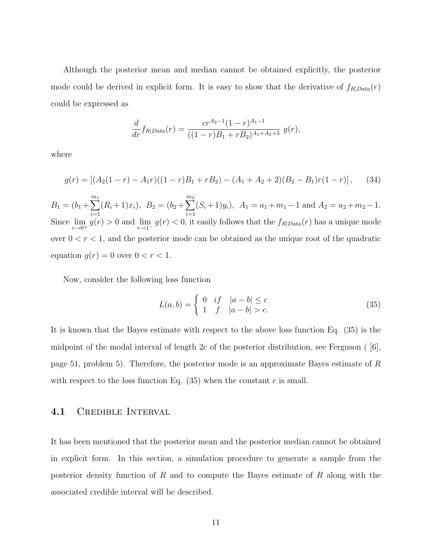Although the posterior mean and median cannot be obtained explicitly, the posterior mode could be derived in explicit form. It is easy to show that the derivative of  $f_{R|Data}(r)$ could be expressed as

$$
\frac{d}{dr}f_{R|Data}(r) = \frac{cr^{A_2-1}(1-r)^{A_1-1}}{((1-r)B_1+rB_2)^{A_1+A_2+3}} g(r),
$$

where

$$
g(r) = \left[ (A_2(1-r) - A_1r)((1-r)B_1 + rB_2) - (A_1 + A_2 + 2)(B_2 - B_1)r(1-r) \right], \quad (34)
$$

 $B_1 = (b_1 + \sum^{m_1}$  $i=1$  $(R_i+1)x_i$ ,  $B_2 = (b_2+\sum^{m_2}$  $i=1$  $(S_i+1)y_i$ ,  $A_1 = a_1 + m_1 - 1$  and  $A_2 = a_2 + m_2 - 1$ . Since  $\lim_{r\to 0^+} g(r) > 0$  and  $\lim_{r\to 1^-} g(r) < 0$ , it easily follows that the  $f_{R|Data}(r)$  has a unique mode over  $0 < r < 1$ , and the posterior mode can be obtained as the unique root of the quadratic equation  $g(r) = 0$  over  $0 < r < 1$ .

Now, consider the following loss function

$$
L(a,b) = \begin{cases} 0 & \text{if } |a-b| \le c \\ 1 & \text{if } |a-b| > c. \end{cases}
$$
 (35)

It is known that the Bayes estimate with respect to the above loss function Eq. (35) is the midpoint of the modal interval of length 2c of the posterior distribution, see Ferguson ( [6], page 51, problem 5). Therefore, the posterior mode is an approximate Bayes estimate of R with respect to the loss function Eq.  $(35)$  when the constant c is small.

#### 4.1 Credible Interval

It has been mentioned that the posterior mean and the posterior median cannot be obtained in explicit form. In this section, a simulation procedure to generate a sample from the posterior density function of  $R$  and to compute the Bayes estimate of  $R$  along with the associated credible interval will be described.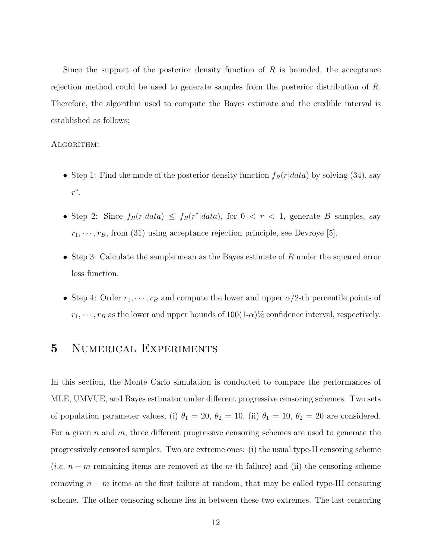Since the support of the posterior density function of  $R$  is bounded, the acceptance rejection method could be used to generate samples from the posterior distribution of R. Therefore, the algorithm used to compute the Bayes estimate and the credible interval is established as follows;

#### ALGORITHM:

- Step 1: Find the mode of the posterior density function  $f_R(r|data)$  by solving (34), say  $r^*$ .
- Step 2: Since  $f_R(r|data) \leq f_R(r^*|data)$ , for  $0 \lt r \lt 1$ , generate B samples, say  $r_1, \dots, r_B$ , from (31) using acceptance rejection principle, see Devroye [5].
- Step 3: Calculate the sample mean as the Bayes estimate of  $R$  under the squared error loss function.
- Step 4: Order  $r_1, \dots, r_B$  and compute the lower and upper  $\alpha/2$ -th percentile points of  $r_1, \dots, r_B$  as the lower and upper bounds of  $100(1-\alpha)\%$  confidence interval, respectively.

# 5 NUMERICAL EXPERIMENTS

In this section, the Monte Carlo simulation is conducted to compare the performances of MLE, UMVUE, and Bayes estimator under different progressive censoring schemes. Two sets of population parameter values, (i)  $\theta_1 = 20$ ,  $\theta_2 = 10$ , (ii)  $\theta_1 = 10$ ,  $\theta_2 = 20$  are considered. For a given n and m, three different progressive censoring schemes are used to generate the progressively censored samples. Two are extreme ones: (i) the usual type-II censoring scheme (*i.e.*  $n - m$  remaining items are removed at the m-th failure) and (ii) the censoring scheme removing  $n - m$  items at the first failure at random, that may be called type-III censoring scheme. The other censoring scheme lies in between these two extremes. The last censoring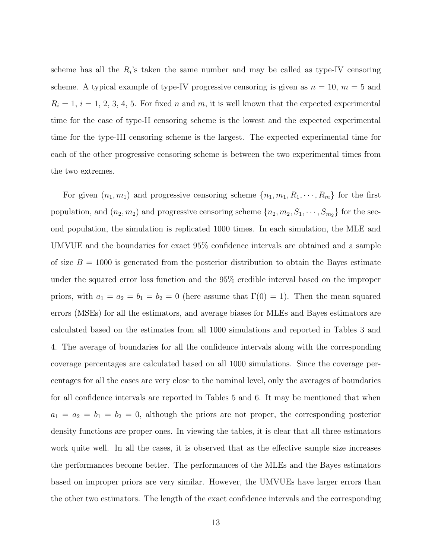scheme has all the  $R_i$ 's taken the same number and may be called as type-IV censoring scheme. A typical example of type-IV progressive censoring is given as  $n = 10$ ,  $m = 5$  and  $R_i = 1, i = 1, 2, 3, 4, 5$ . For fixed n and m, it is well known that the expected experimental time for the case of type-II censoring scheme is the lowest and the expected experimental time for the type-III censoring scheme is the largest. The expected experimental time for each of the other progressive censoring scheme is between the two experimental times from the two extremes.

For given  $(n_1, m_1)$  and progressive censoring scheme  $\{n_1, m_1, R_1, \cdots, R_m\}$  for the first population, and  $(n_2, m_2)$  and progressive censoring scheme  $\{n_2, m_2, S_1, \cdots, S_{m_2}\}$  for the second population, the simulation is replicated 1000 times. In each simulation, the MLE and UMVUE and the boundaries for exact 95% confidence intervals are obtained and a sample of size  $B = 1000$  is generated from the posterior distribution to obtain the Bayes estimate under the squared error loss function and the 95% credible interval based on the improper priors, with  $a_1 = a_2 = b_1 = b_2 = 0$  (here assume that  $\Gamma(0) = 1$ ). Then the mean squared errors (MSEs) for all the estimators, and average biases for MLEs and Bayes estimators are calculated based on the estimates from all 1000 simulations and reported in Tables 3 and 4. The average of boundaries for all the confidence intervals along with the corresponding coverage percentages are calculated based on all 1000 simulations. Since the coverage percentages for all the cases are very close to the nominal level, only the averages of boundaries for all confidence intervals are reported in Tables 5 and 6. It may be mentioned that when  $a_1 = a_2 = b_1 = b_2 = 0$ , although the priors are not proper, the corresponding posterior density functions are proper ones. In viewing the tables, it is clear that all three estimators work quite well. In all the cases, it is observed that as the effective sample size increases the performances become better. The performances of the MLEs and the Bayes estimators based on improper priors are very similar. However, the UMVUEs have larger errors than the other two estimators. The length of the exact confidence intervals and the corresponding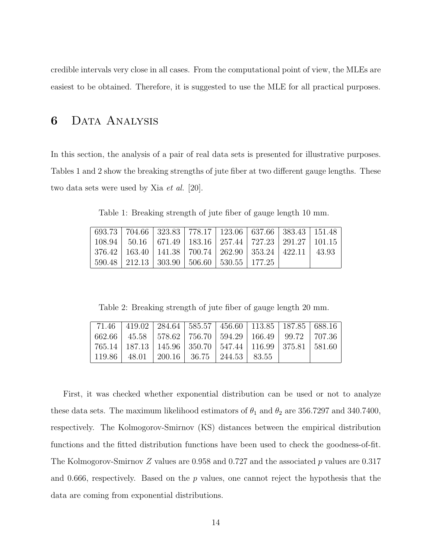credible intervals very close in all cases. From the computational point of view, the MLEs are easiest to be obtained. Therefore, it is suggested to use the MLE for all practical purposes.

# 6 Data Analysis

In this section, the analysis of a pair of real data sets is presented for illustrative purposes. Tables 1 and 2 show the breaking strengths of jute fiber at two different gauge lengths. These two data sets were used by Xia *et al.* [20].

Table 1: Breaking strength of jute fiber of gauge length 10 mm.

| 693.73   704.66   323.83   778.17   123.06   637.66   383.43   151.48                                 |  |  |  |
|-------------------------------------------------------------------------------------------------------|--|--|--|
| 108.94   50.16   671.49   183.16   257.44   727.23   291.27   101.15                                  |  |  |  |
| $\mid 376.42 \mid 163.40 \mid 141.38 \mid 700.74 \mid 262.90 \mid 353.24 \mid 422.11 \mid 43.93 \mid$ |  |  |  |
| $590.48$   212.13   303.90   506.60   530.55   177.25                                                 |  |  |  |

Table 2: Breaking strength of jute fiber of gauge length 20 mm.

|  | 71.46   419.02   284.64   585.57   456.60   113.85   187.85   688.16  |  |  |
|--|-----------------------------------------------------------------------|--|--|
|  | 662.66   45.58   578.62   756.70   594.29   166.49   99.72   707.36   |  |  |
|  | 765.14   187.13   145.96   350.70   547.44   116.99   375.81   581.60 |  |  |
|  | 119.86   48.01   200.16   36.75   244.53   83.55                      |  |  |

First, it was checked whether exponential distribution can be used or not to analyze these data sets. The maximum likelihood estimators of  $\theta_1$  and  $\theta_2$  are 356.7297 and 340.7400, respectively. The Kolmogorov-Smirnov (KS) distances between the empirical distribution functions and the fitted distribution functions have been used to check the goodness-of-fit. The Kolmogorov-Smirnov Z values are 0.958 and 0.727 and the associated p values are 0.317 and 0.666, respectively. Based on the  $p$  values, one cannot reject the hypothesis that the data are coming from exponential distributions.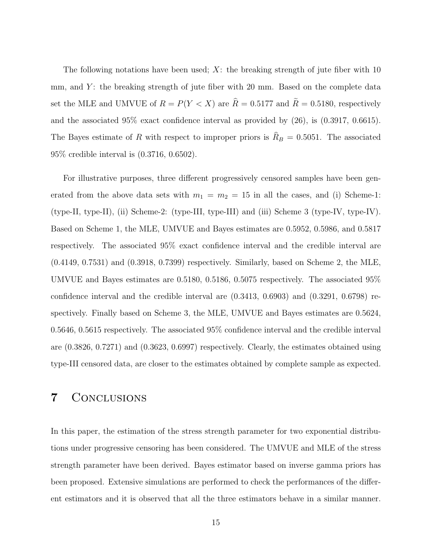The following notations have been used;  $X$ : the breaking strength of jute fiber with 10 mm, and  $Y$ : the breaking strength of jute fiber with 20 mm. Based on the complete data set the MLE and UMVUE of  $R = P(Y < X)$  are  $\hat{R} = 0.5177$  and  $\tilde{R} = 0.5180$ , respectively and the associated 95% exact confidence interval as provided by (26), is (0.3917, 0.6615). The Bayes estimate of R with respect to improper priors is  $R_B = 0.5051$ . The associated 95% credible interval is (0.3716, 0.6502).

For illustrative purposes, three different progressively censored samples have been generated from the above data sets with  $m_1 = m_2 = 15$  in all the cases, and (i) Scheme-1: (type-II, type-II), (ii) Scheme-2: (type-III, type-III) and (iii) Scheme 3 (type-IV, type-IV). Based on Scheme 1, the MLE, UMVUE and Bayes estimates are 0.5952, 0.5986, and 0.5817 respectively. The associated 95% exact confidence interval and the credible interval are (0.4149, 0.7531) and (0.3918, 0.7399) respectively. Similarly, based on Scheme 2, the MLE, UMVUE and Bayes estimates are 0.5180, 0.5186, 0.5075 respectively. The associated 95% confidence interval and the credible interval are (0.3413, 0.6903) and (0.3291, 0.6798) respectively. Finally based on Scheme 3, the MLE, UMVUE and Bayes estimates are 0.5624, 0.5646, 0.5615 respectively. The associated 95% confidence interval and the credible interval are (0.3826, 0.7271) and (0.3623, 0.6997) respectively. Clearly, the estimates obtained using type-III censored data, are closer to the estimates obtained by complete sample as expected.

# 7 Conclusions

In this paper, the estimation of the stress strength parameter for two exponential distributions under progressive censoring has been considered. The UMVUE and MLE of the stress strength parameter have been derived. Bayes estimator based on inverse gamma priors has been proposed. Extensive simulations are performed to check the performances of the different estimators and it is observed that all the three estimators behave in a similar manner.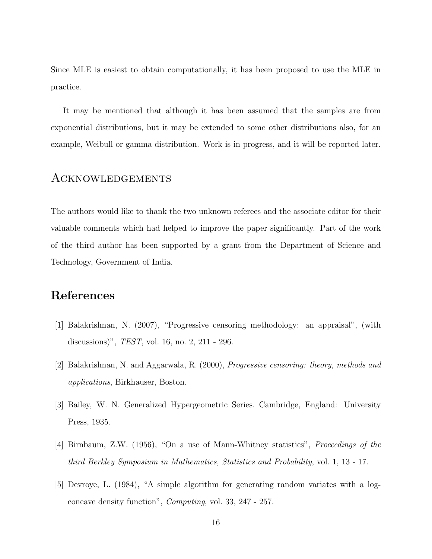Since MLE is easiest to obtain computationally, it has been proposed to use the MLE in practice.

It may be mentioned that although it has been assumed that the samples are from exponential distributions, but it may be extended to some other distributions also, for an example, Weibull or gamma distribution. Work is in progress, and it will be reported later.

### Acknowledgements

The authors would like to thank the two unknown referees and the associate editor for their valuable comments which had helped to improve the paper significantly. Part of the work of the third author has been supported by a grant from the Department of Science and Technology, Government of India.

# References

- [1] Balakrishnan, N. (2007), "Progressive censoring methodology: an appraisal", (with discussions)", TEST, vol. 16, no. 2, 211 - 296.
- [2] Balakrishnan, N. and Aggarwala, R. (2000), Progressive censoring: theory, methods and applications, Birkhauser, Boston.
- [3] Bailey, W. N. Generalized Hypergeometric Series. Cambridge, England: University Press, 1935.
- [4] Birnbaum, Z.W. (1956), "On a use of Mann-Whitney statistics", Proceedings of the third Berkley Symposium in Mathematics, Statistics and Probability, vol. 1, 13 - 17.
- [5] Devroye, L. (1984), "A simple algorithm for generating random variates with a logconcave density function", Computing, vol. 33, 247 - 257.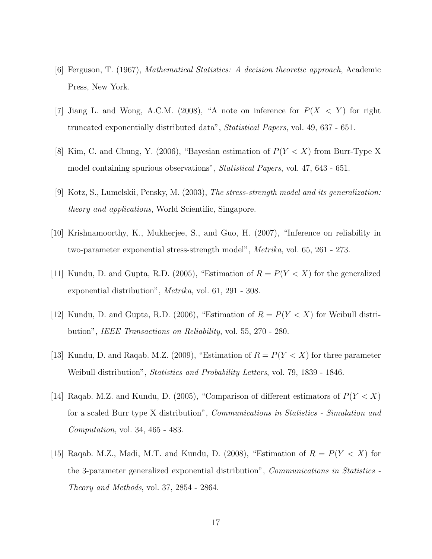- [6] Ferguson, T. (1967), Mathematical Statistics: A decision theoretic approach, Academic Press, New York.
- [7] Jiang L. and Wong, A.C.M. (2008), "A note on inference for  $P(X \le Y)$  for right truncated exponentially distributed data", Statistical Papers, vol. 49, 637 - 651.
- [8] Kim, C. and Chung, Y. (2006), "Bayesian estimation of  $P(Y < X)$  from Burr-Type X model containing spurious observations", Statistical Papers, vol. 47, 643 - 651.
- [9] Kotz, S., Lumelskii, Pensky, M. (2003), The stress-strength model and its generalization: theory and applications, World Scientific, Singapore.
- [10] Krishnamoorthy, K., Mukherjee, S., and Guo, H. (2007), "Inference on reliability in two-parameter exponential stress-strength model", Metrika, vol. 65, 261 - 273.
- [11] Kundu, D. and Gupta, R.D. (2005), "Estimation of  $R = P(Y < X)$  for the generalized exponential distribution", Metrika, vol. 61, 291 - 308.
- [12] Kundu, D. and Gupta, R.D. (2006), "Estimation of  $R = P(Y < X)$  for Weibull distribution", IEEE Transactions on Reliability, vol. 55, 270 - 280.
- [13] Kundu, D. and Raqab. M.Z. (2009), "Estimation of  $R = P(Y < X)$  for three parameter Weibull distribution", *Statistics and Probability Letters*, vol. 79, 1839 - 1846.
- [14] Raqab. M.Z. and Kundu, D. (2005), "Comparison of different estimators of  $P(Y < X)$ for a scaled Burr type X distribution", Communications in Statistics - Simulation and Computation, vol. 34, 465 - 483.
- [15] Raqab. M.Z., Madi, M.T. and Kundu, D. (2008), "Estimation of  $R = P(Y < X)$  for the 3-parameter generalized exponential distribution", Communications in Statistics - Theory and Methods, vol. 37, 2854 - 2864.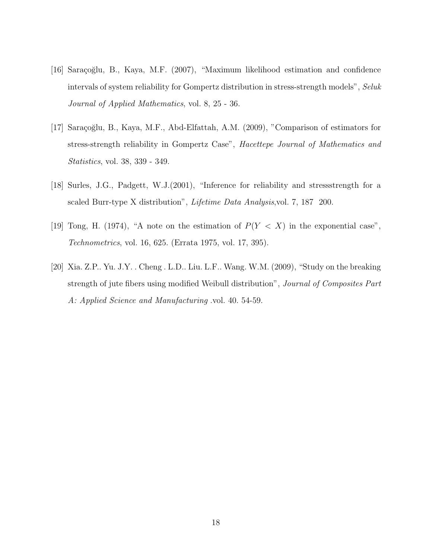- [16] Saraçoğlu, B., Kaya, M.F. (2007), "Maximum likelihood estimation and confidence intervals of system reliability for Gompertz distribution in stress-strength models", Seluk Journal of Applied Mathematics, vol. 8, 25 - 36.
- [17] Saraçoğlu, B., Kaya, M.F., Abd-Elfattah, A.M. (2009), "Comparison of estimators for stress-strength reliability in Gompertz Case", Hacettepe Journal of Mathematics and Statistics, vol. 38, 339 - 349.
- [18] Surles, J.G., Padgett, W.J.(2001), "Inference for reliability and stressstrength for a scaled Burr-type X distribution", *Lifetime Data Analysis*, vol. 7, 187 200.
- [19] Tong, H. (1974), "A note on the estimation of  $P(Y < X)$  in the exponential case", Technometrics, vol. 16, 625. (Errata 1975, vol. 17, 395).
- [20] Xia. Z.P.. Yu. J.Y. . Cheng . L.D.. Liu. L.F.. Wang. W.M. (2009), "Study on the breaking strength of jute fibers using modified Weibull distribution", Journal of Composites Part A: Applied Science and Manufacturing .vol. 40. 54-59.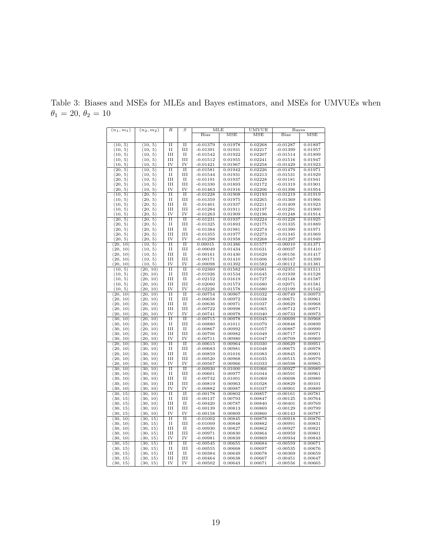| $(n_1, m_1)$ | $(n_2, m_2)$ | R                   | S                           | MLE         |            | UMVUE   | Bayes       |         |
|--------------|--------------|---------------------|-----------------------------|-------------|------------|---------|-------------|---------|
|              |              |                     |                             | <b>Bias</b> | <b>MSE</b> | MSE     | <b>Bias</b> | MSE     |
|              |              |                     |                             |             |            |         |             |         |
| (10, 5)      | (10, 5)      | $\overline{\rm II}$ | $\overline{\rm II}$         | $-0.01379$  | 0.01978    | 0.02268 | $-0.01287$  | 0.01897 |
| (10, 5)      | (10, 5)      | П                   | $\mathop{\rm III}\nolimits$ | $-0.01391$  | 0.01931    | 0.02217 | $-0.01399$  | 0.01957 |
| (10, 5)      | (10, 5)      | Ш                   | $_{\rm II}$                 | $-0.01542$  | 0.01922    | 0.02207 | $-0.01514$  | 0.01899 |
| (10, 5)      | (10, 5)      | III                 | III                         | $-0.01512$  | 0.01955    | 0.02241 | $-0.01516$  | 0.01947 |
| (10, 5)      | (10, 5)      | IV                  | IV                          | $-0.01421$  | 0.01967    | 0.02258 | $-0.01429$  | 0.01923 |
| (20, 5)      | (10, 5)      | $\overline{\rm II}$ | $\overline{\rm II}$         | $-0.01581$  | 0.01942    | 0.02226 | $-0.01479$  | 0.01971 |
| (20, 5)      | (10, 5)      | П                   | Ш                           | $-0.01544$  | 0.01931    | 0.02213 | $-0.01531$  | 0.01929 |
| (20, 5)      |              | Ш                   | $_{\rm II}$                 | $-0.01191$  | 0.01937    | 0.02228 | $-0.01181$  | 0.01941 |
| (20, 5)      | (10, 5)      | Ш                   | III                         | $-0.01330$  | 0.01893    | 0.02172 | $-0.01319$  | 0.01901 |
|              | (10, 5)      | IV                  | IV                          |             |            |         |             |         |
| (20, 5)      | (10, 5)      |                     |                             | $-0.01463$  | 0.01916    | 0.02206 | $-0.01396$  | 0.01954 |
| (10, 5)      | (20, 5)      | $_{\rm II}$         | $\overline{\rm II}$         | $-0.01228$  | 0.01908    | 0.02193 | $-0.01219$  | 0.01919 |
| (10, 5)      | (20, 5)      | и                   | Ш                           | $-0.01359$  | 0.01975    | 0.02265 | $-0.01369$  | 0.01966 |
| (10, 5)      | (20, 5)      | Ш                   | $_{\rm II}$                 | $-0.01401$  | 0.01937    | 0.02211 | $-0.01409$  | 0.01923 |
| (10, 5)      | (20, 5)      | Ш                   | Ш                           | $-0.01284$  | 0.01911    | 0.02197 | $-0.01291$  | 0.01900 |
| (10, 5)      | (20, 5)      | IV                  | IV                          | $-0.01263$  | 0.01909    | 0.02196 | $-0.01248$  | 0.01914 |
| (20, 5)      | (20, 5)      | $\overline{\rm II}$ | $\overline{\rm II}$         | $-0.01231$  | 0.01937    | 0.02224 | $-0.01228$  | 0.01925 |
| (20, 5)      | (20, 5)      | $_{\rm II}$         | III                         | $-0.01325$  | 0.01893    | 0.02175 | $-0.01335$  | 0.01889 |
| (20, 5)      | (20, 5)      | Ш                   | и                           | $-0.01384$  | 0.01981    | 0.02274 | $-0.01390$  | 0.01971 |
| (20, 5)      | (20, 5)      | Ш                   | Ш                           | $-0.01355$  | 0.01977    | 0.02273 | $-0.01345$  | 0.01969 |
| (20, 5)      | (20, 5)      | IV                  | IV                          | $-0.01298$  | 0.01958    | 0.02268 | $-0.01297$  | 0.01949 |
| (20, 10)     | (10, 5)      | $\overline{\rm II}$ | $\overline{\rm II}$         | 0.00015     | 0.01386    | 0.01577 | $-0.00010$  | 0.01371 |
| (20, 10)     | (10, 5)      | и                   | Ш                           | $-0.00049$  | 0.01434    | 0.01631 | $-0.00037$  | 0.01410 |
| (20, 10)     | (10, 5)      | Ш                   | $_{II}$                     | $-0.00161$  | 0.01430    | 0.01629 | $-0.00156$  | 0.01417 |
| (20, 10)     | (10, 5)      | Ш                   | III                         | $-0.00171$  | 0.01410    | 0.01606 | $-0.00167$  | 0.01399 |
| (20, 10)     | (10, 5)      | IV                  | IV                          | $-0.00098$  | 0.01392    | 0.01582 | $-0.00112$  | 0.01381 |
| (10, 5)      | (20, 10)     | $_{\rm II}$         | $\overline{\rm II}$         | $-0.02360$  | 0.01582    | 0.01681 | $-0.02351$  | 0.01511 |
| (10, 5)      | (20, 10)     | П                   | Ш                           | $-0.01926$  | 0.01534    | 0.01645 | $-0.01939$  | 0.01528 |
| (10, 5)      | (20, 10)     | III                 | $_{\rm II}$                 | $-0.02152$  | 0.01619    | 0.01727 | $-0.02148$  | 0.01587 |
| (10, 5)      | (20, 10)     | III                 | III                         | $-0.02060$  | 0.01573    | 0.01680 | $-0.02071$  | 0.01581 |
| (10, 5)      | (20, 10)     | IV                  | IV                          | $-0.02226$  | 0.01578    | 0.01680 | $-0.02199$  | 0.01542 |
| (20, 10)     | (20, 10)     | $\overline{\rm II}$ | $\overline{\rm II}$         | $-0.00754$  | 0.00967    | 0.01032 | $-0.00749$  | 0.00973 |
|              |              |                     | Ш                           |             |            |         |             |         |
| (20, 10)     | (20, 10)     | и                   |                             | $-0.00658$  | 0.00972    | 0.01038 | $-0.00671$  | 0.00961 |
| (20, 10)     | (20, 10)     | Ш                   | $_{\rm II}$                 | $-0.00636$  | 0.00971    | 0.01037 | $-0.00629$  | 0.00968 |
| (20, 10)     | (20, 10)     | Ш                   | Ш                           | $-0.00722$  | 0.00998    | 0.01065 | $-0.00712$  | 0.00971 |
| (20, 10)     | (20, 10)     | IV                  | IV                          | $-0.00741$  | 0.00978    | 0.01040 | $-0.00733$  | 0.00973 |
| (30, 10)     | (20, 10)     | $\overline{\rm II}$ | $\overline{\rm II}$         | $-0.00715$  | 0.00978    | 0.01045 | $-0.00699$  | 0.00968 |
| (30, 10)     | (20, 10)     | $_{\rm II}$         | III                         | $-0.00880$  | 0.01011    | 0.01079 | $-0.00848$  | 0.00899 |
| (30, 10)     | (20, 10)     | III                 | $_{II}$                     | $-0.00867$  | 0.00992    | 0.01057 | $-0.00887$  | 0.00999 |
| (30, 10)     | (20, 10)     | Ш                   | Ш                           | $-0.00706$  | 0.00982    | 0.01049 | $-0.00717$  | 0.00971 |
| (30, 10)     | (20, 10)     | IV                  | IV                          | $-0.00711$  | 0.00980    | 0.01047 | $-0.00709$  | 0.00969 |
| (20, 10)     | (30, 10)     | $\overline{\rm II}$ | $\overline{\rm II}$         | $-0.00615$  | 0.00964    | 0.01030 | $-0.00629$  | 0.00951 |
| (20, 10)     | (30, 10)     | П                   | Ш                           | $-0.00683$  | 0.00981    | 0.01048 | $-0.00675$  | 0.00978 |
| (20, 10)     | (30, 10)     | III                 | $_{II}$                     | $-0.00859$  | 0.01016    | 0.01083 | $-0.00845$  | 0.00901 |
| (20, 10)     | (30, 10)     | Ш                   | III                         | $-0.00520$  | 0.00968    | 0.01035 | $-0.00515$  | 0.00979 |
| (20, 10)     | (30, 10)     | IV                  | IV                          | $-0.00567$  | 0.00966    | 0.01033 | $-0.00598$  | 0.00965 |
| (30, 10)     | (30, 10)     | $\overline{\rm II}$ | $\overline{\rm{II}}$        | $-0.00930$  | 0.01000    | 0.01066 | $-0.00927$  | 0.00989 |
| (30, 10)     | (30, 10)     | П                   | III                         | $-0.00601$  | 0.00977    | 0.01044 | $-0.00591$  | 0.00961 |
| (30, 10)     | (30, 10)     | Ш                   | П                           | $-0.00732$  | 0.01001    | 0.01069 | $-0.00698$  | 0.00989 |
| (30, 10)     | (30, 10)     | Ш                   | Ш                           | $-0.00819$  | 0.00963    | 0.01028 | $-0.00829$  | 0.00101 |
| (30, 10)     | (30, 10)     | IV                  | IV                          | $-0.00882$  | 0.00987    | 0.01037 | $-0.00901$  | 0.00889 |
| (30, 15)     | (30, 10)     | $\overline{\rm II}$ | $\overline{\rm II}$         | $-0.00178$  | 0.00802    | 0.00857 | $-0.00161$  | 0.00781 |
| (30, 15)     | (30, 10)     | и                   | Ш                           | $-0.00137$  | 0.00793    | 0.00847 | $-0.00125$  | 0.00764 |
| (30, 15)     | (30, 10)     | Ш                   | $\rm II$                    | $-0.00420$  | 0.00787    | 0.00840 | $-0.00401$  | 0.00769 |
| (30, 15)     | (30, 10)     | Ш                   | Ш                           | $-0.00139$  | 0.00813    | 0.00869 | $-0.00129$  | 0.00799 |
| (30, 15)     | (30, 10)     | IV                  | IV                          | $-0.00158$  | 0.00809    | 0.00860 | $-0.00143$  | 0.00787 |
| (30, 10)     | (30, 15)     | $\overline{\rm II}$ | $\overline{\rm II}$         | $-0.01002$  | 0.00845    | 0.00878 | $-0.00918$  | 0.00876 |
| (30, 10)     | (30, 15)     | $\rm II$            | III                         | $-0.01009$  | 0.00848    | 0.00882 | $-0.00991$  | 0.00831 |
| (30, 10)     | (30, 15)     | III                 | П                           | $-0.00930$  | 0.00827    | 0.00862 | $-0.00927$  | 0.00821 |
| (30, 10)     | (30, 15)     | Ш                   | Ш                           | $-0.00971$  | 0.00830    | 0.00864 | $-0.00959$  | 0.00801 |
| (30, 10)     | (30, 15)     | IV                  | IV                          | $-0.00981$  | 0.00839    | 0.00869 | $-0.00934$  | 0.00843 |
| (30, 15)     | (30, 15)     | $_{\rm II}$         | $_{\rm II}$                 | $-0.00545$  | 0.00655    | 0.00684 | $-0.00559$  | 0.00671 |
|              |              |                     | III                         |             |            |         |             |         |
| (30, 15)     | (30, 15)     | П<br>Ш              | $_{\rm II}$                 | $-0.00555$  | 0.00668    | 0.00697 | $-0.00535$  | 0.00676 |
| (30, 15)     | (30, 15)     |                     |                             | $-0.00384$  | 0.00649    | 0.00678 | $-0.00369$  | 0.00659 |
| (30, 15)     | (30, 15)     | III<br>IV           | III<br>IV                   | $-0.00464$  | 0.00638    | 0.00667 | $-0.00451$  | 0.00647 |
| (30, 15)     | (30, 15)     |                     |                             | $-0.00502$  | 0.00643    | 0.00671 | $-0.00556$  | 0.00665 |

Table 3: Biases and MSEs for MLEs and Bayes estimators, and MSEs for UMVUEs when  $\theta_1$  = 20,  $\theta_2$  = 10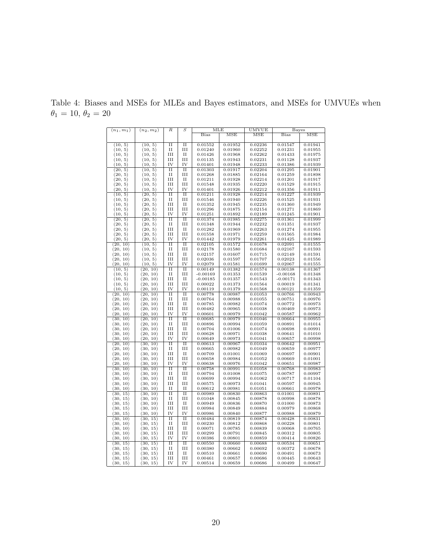| $(n_1, m_1)$ | $(n_2, m_2)$ | R                   | S                   | MLE        |         | UMVUE        | Bayes        |         |
|--------------|--------------|---------------------|---------------------|------------|---------|--------------|--------------|---------|
|              |              |                     |                     | Bias       | MSE     | $_{\rm MSE}$ | <b>Bias</b>  | MSE     |
|              |              |                     |                     |            |         |              |              |         |
| (10, 5)      | (10, 5)      | $\overline{\rm II}$ | $\overline{\rm II}$ | 0.01552    | 0.01952 | 0.02236      | 0.01547      | 0.01941 |
| (10, 5)      | (10, 5)      | П                   | III                 | 0.01240    | 0.01960 | ${0.02252}$  | 0.01231      | 0.01955 |
| (10, 5)      | (10, 5)      | IΗ                  |                     |            | 0.01968 | 0.02262      |              |         |
|              |              |                     | П                   | 0.01426    |         |              | 0.01433      | 0.01975 |
| (10, 5)      | (10, 5)      | Ш                   | Ш                   | 0.01135    | 0.01943 | 0.02231      | 0.01128      | 0.01937 |
| (10, 5)      | (10, 5)      | IV                  | IV                  | 0.01401    | 0.01948 | 0.02233      | 0.01386      | 0.01939 |
| (20, 5)      | (10, 5)      | $\overline{\rm II}$ | $\overline{\rm II}$ | 0.01303    | 0.01917 | 0.02204      | 0.01295      | 0.01901 |
| (20, 5)      | (10, 5)      | П                   | Ш                   | 0.01268    | 0.01885 | 0.02164      | 0.01259      | 0.01898 |
| (20, 5)      | (10, 5)      | III                 | $_{\rm II}$         | 0.01211    | 0.01928 | 0.02214      | 0.01201      | 0.01917 |
| (20, 5)      | (10, 5)      | III                 | III                 | 0.01548    | 0.01935 | 0.02220      | 0.01529      | 0.01915 |
| (20, 5)      | (10, 5)      | IV                  | IV                  | 0.01401    | 0.01926 | 0.02212      | 0.01356      | 0.01911 |
| (10, 5)      | (20, 5)      | $\overline{\rm II}$ | $\overline{\rm II}$ | 0.01211    | 0.01928 | 0.02214      | 0.01227      | 0.01939 |
|              |              |                     |                     |            |         |              |              |         |
| (10, 5)      | (20, 5)      | П                   | Ш                   | 0.01546    | 0.01940 | 0.02226      | 0.01525      | 0.01931 |
| (10, 5)      | (20, 5)      | Ш                   | $_{\rm II}$         | 0.01352    | 0.01945 | 0.02235      | 0.01360      | 0.01949 |
| (10, 5)      | (20, 5)      | III                 | III                 | 0.01296    | 0.01875 | 0.02154      | 0.01271      | 0.01869 |
| (10, 5)      | (20, 5)      | IV                  | IV                  | 0.01251    | 0.01892 | 0.02189      | 0.01245      | 0.01901 |
| (20, 5)      | (20, 5)      | $\overline{\rm II}$ | $\overline{\rm II}$ | 0.01374    | 0.01985 | 0.02275      | 0.01361      | 0.01999 |
| (20, 5)      | (20, 5)      | П                   | Ш                   | 0.01348    | 0.01944 | 0.02232      | 0.01351      | 0.01937 |
| (20, 5)      | (20, 5)      | Ш                   | $_{\rm II}$         | 0.01282    | 0.01969 | 0.02263      | 0.01274      | 0.01955 |
| (20, 5)      | (20, 5)      | III                 | III                 | 0.01558    | 0.01971 | 0.02259      | 0.01565      | 0.01984 |
| (20, 5)      | (20, 5)      | IV                  | IV                  | 0.01442    | 0.01979 | 0.02261      | 0.01425      | 0.01989 |
|              |              | $\overline{\rm II}$ | $\overline{\rm II}$ |            |         |              |              |         |
| (20, 10)     | (10, 5)      |                     |                     | 0.02105    | 0.01572 | 0.01678      | 0.02091      | 0.01555 |
| (20, 10)     | (10, 5)      | П                   | Ш                   | 0.02178    | 0.01580 | 0.01684      | 0.02167      | 0.01593 |
| (20, 10)     | (10, 5)      | Ш                   | $_{\rm II}$         | 0.02157    | 0.01607 | 0.01715      | 0.02149      | 0.01591 |
| (20, 10)     | (10, 5)      | Ш                   | III                 | 0.02036    | 0.01597 | 0.01707      | 0.02023      | 0.01556 |
| (20, 10)     | (10, 5)      | IV                  | IV                  | 0.02079    | 0.01581 | 0.01699      | 0.02067      | 0.01555 |
| (10, 5)      | (20, 10)     | $\overline{\rm II}$ | $\overline{\rm II}$ | 0.00149    | 0.01382 | 0.01574      | 0.00138      | 0.01367 |
| (10, 5)      | (20, 10)     | П                   | Ш                   | $-0.00169$ | 0.01353 | 0.01539      | $-0.00168$   | 0.01348 |
| (10, 5)      | (20, 10)     | Ш                   | $_{\rm II}$         | $-0.00185$ | 0.01357 | 0.01543      | $-0.00171$   | 0.01343 |
| (10, 5)      | (20, 10)     | III                 | III                 | 0.00022    | 0.01373 | 0.01564      | 0.00019      | 0.01341 |
| (10, 5)      | (20, 10)     | IV                  | IV                  | 0.00119    | 0.01379 | 0.01568      | 0.00121      | 0.01359 |
|              |              | $\overline{\rm II}$ | $\overline{\rm II}$ |            |         |              |              |         |
| (20, 10)     | (20, 10)     |                     |                     | 0.00778    | 0.00987 | 0.01053      | 0.00766      | 0.00943 |
| (20, 10)     | (20, 10)     | П                   | Ш                   | 0.00764    | 0.00988 | 0.01055      | 0.00751      | 0.00976 |
| (20, 10)     | (20, 10)     | Ш                   | $_{\rm II}$         | 0.00785    | 0.00982 | 0.01074      | 0.00772      | 0.00973 |
| (20, 10)     | (20, 10)     | III                 | III                 | 0.00482    | 0.00965 | 0.01038      | 0.00469      | 0.00973 |
| (20, 10)     | (20, 10)     | IV                  | IV                  | 0.00601    | 0.00979 | 0.01042      | 0.00587      | 0.00962 |
| (30, 10)     | (20, 10)     | $\overline{\rm II}$ | $\overline{\rm II}$ | 0.00685    | 0.00979 | 0.01046      | 0.00664      | 0.00955 |
| (30, 10)     | (20, 10)     | П                   | III                 | 0.00896    | 0.00994 | 0.01059      | $_{0.00891}$ | 0.01014 |
| (30, 10)     | (20, 10)     | Ш                   | $_{\rm II}$         | 0.00704    | 0.01006 | 0.01074      | 0.00698      | 0.00991 |
| (30, 10)     | (20, 10)     | III                 | III                 | 0.00628    | 0.00971 | 0.01038      | 0.00641      | 0.01010 |
| (30, 10)     | (20, 10)     | IV                  | IV                  | 0.00649    | 0.00973 | 0.01041      | 0.00657      | 0.00998 |
|              |              | $\overline{\rm II}$ | $\overline{\rm II}$ | 0.00613    | 0.00967 | 0.01034      | 0.00642      |         |
| (20, 10)     | (30, 10)     |                     |                     |            |         |              |              | 0.00951 |
| (20, 10)     | (30, 10)     | П                   | Ш                   | 0.00665    | 0.00982 | 0.01049      | 0.00659      | 0.00977 |
| (20, 10)     | (30, 10)     | III                 | $_{II}$             | 0.00709    | 0.01001 | 0.01069      | 0.00697      | 0.00901 |
| (20, 10)     | (30, 10)     | Ш                   | III                 | 0.00658    | 0.00984 | 0.01052      | 0.00669      | 0.01001 |
| (20, 10)     | (30, 10)     | IV                  | IV                  | 0.00638    | 0.00976 | 0.01042      | 0.00651      | 0.00987 |
| (30, 10)     | (30, 10)     | $\overline{\rm II}$ | $\overline{\rm II}$ | 0.00758    | 0.00991 | 0.01058      | 0.00768      | 0.00983 |
| (30, 10)     | (30, 10)     | П                   | III                 | 0.00794    | 0.01008 | 0.01075      | 0.00787      | 0.00997 |
| (30, 10)     | (30, 10)     | III                 | $_{II}$             | 0.00699    | 0.00994 | 0.01062      | 0.00717      | 0.01104 |
| (30, 10)     | (30, 10)     | Ш                   | Ш                   | 0.00575    | 0.00973 | 0.01041      | 0.00597      | 0.00945 |
| (30, 10)     | (30, 10)     | П                   | П                   | 0.00612    | 0.00981 | 0.01051      | 0.00661      | 0.00978 |
| (30, 15)     | (30, 10)     | П                   | $_{\rm II}$         | 0.00989    | 0.00830 | 0.00863      | 0.01001      | 0.00891 |
|              |              |                     |                     |            |         |              |              |         |
| (30, 15)     | (30, 10)     | П                   | Ш                   | 0.01048    | 0.00845 | 0.00878      | 0.00998      | 0.00878 |
| (30, 15)     | (30, 10)     | Ш                   | и                   | 0.00949    | 0.00836 | 0.00870      | 0.01000      | 0.00873 |
| (30, 15)     | (30, 10)     | III                 | III                 | 0.00984    | 0.00849 | 0.00884      | 0.00979      | 0.00868 |
| (30, 15)     | (30, 10)     | IV                  | IV                  | 0.00986    | 0.00840 | 0.00877      | 0.00988      | 0.00879 |
| (30, 10)     | (30, 15)     | $\overline{\rm II}$ | $_{\rm II}$         | 0.00484    | 0.00819 | 0.00874      | 0.00428      | 0.00831 |
| (30, 10)     | (30, 15)     | П                   | Ш                   | 0.00230    | 0.00812 | 0.00868      | 0.00228      | 0.00801 |
| (30, 10)     | (30, 15)     | Ш                   | $_{\rm II}$         | 0.00071    | 0.00785 | 0.00839      | 0.00068      | 0.00765 |
| (30, 10)     | (30, 15)     | III                 | III                 | 0.00299    | 0.00791 | 0.00845      | 0.00312      | 0.00805 |
| (30, 10)     | (30, 15)     | IV                  | IV                  | 0.00386    | 0.00801 | 0.00859      | 0.00414      | 0.00826 |
| (30, 15)     | (30, 15)     | П                   | $_{\rm II}$         | 0.00550    | 0.00660 | 0.00688      | 0.00534      | 0.00651 |
| (30, 15)     | (30, 15)     | П                   | Ш                   | 0.00380    | 0.00662 | 0.00692      | 0.00372      | 0.00678 |
|              |              |                     |                     |            |         |              |              |         |
| (30, 15)     | (30, 15)     | Ш                   | $_{\rm II}$         | 0.00510    | 0.00661 | 0.00690      | 0.00491      | 0.00673 |
| (30, 15)     | (30, 15)     | Ш                   | III                 | 0.00461    | 0.00657 | 0.00686      | 0.00445      | 0.00643 |
| (30, 15)     | (30, 15)     | IV                  | IV                  | 0.00514    | 0.00659 | 0.00686      | 0.00499      | 0.00647 |

Table 4: Biases and MSEs for MLEs and Bayes estimators, and MSEs for UMVUEs when  $\theta_1$  = 10,  $\theta_2$  = 20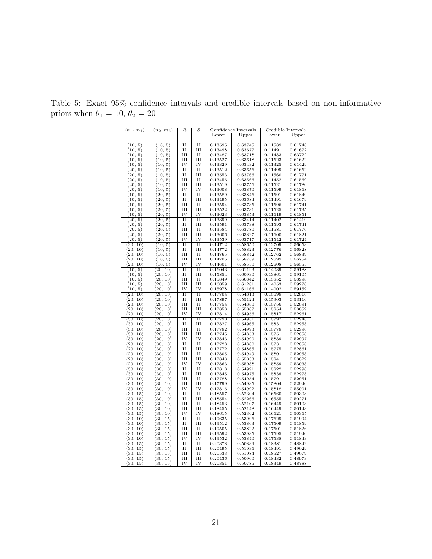| $(n_1, m_1)$ | $(n_2,m_2)$ | R                   | S                   | Confidence Intervals |         | Credible Intervals |                |
|--------------|-------------|---------------------|---------------------|----------------------|---------|--------------------|----------------|
|              |             |                     |                     | Lower                | Upper   | Lower              | $_{\rm Upper}$ |
|              |             |                     |                     |                      |         |                    |                |
| (10, 5)      | (10, 5)     | $\overline{\rm II}$ | $\overline{\rm II}$ | 0.13595              | 0.63745 | 0.11589            | 0.61748        |
| (10, 5)      | (10, 5)     | П                   | III                 | 0.13498              | 0.63677 | 0.11491            | 0.61672        |
|              |             |                     |                     |                      |         |                    |                |
| (10, 5)      | (10, 5)     | Ш                   | $_{\rm II}$         | 0.13487              | 0.63718 | 0.11483            | 0.63722        |
| (10, 5)      | (10, 5)     | Ш                   | Ш                   | 0.13527              | 0.63618 | 0.11523            | 0.61622        |
| (10, 5)      | (10, 5)     | IV                  | IV                  | 0.13329              | 0.63432 | 0.11325            | 0.61429        |
| (20, 5)      | (10, 5)     | $\overline{\rm II}$ | $\overline{\rm II}$ | 0.13512              | 0.63656 | 0.11499            | 0.61652        |
| (20, 5)      | (10, 5)     | и                   | Ш                   | 0.13553              | 0.63766 | 0.11560            | 0.61771        |
| (20, 5)      | (10, 5)     | Ш                   | $_{\rm II}$         | 0.13456              | 0.63566 | 0.11452            | 0.61569        |
| (20, 5)      | (10, 5)     | Ш                   | Ш                   | 0.13519              | 0.63756 | 0.11521            | 0.61780        |
| (20, 5)      | (10, 5)     | IV                  | IV                  | 0.13608              | 0.63870 | 0.11599            | 0.61868        |
| (10, 5)      | (20, 5)     | $\overline{\rm II}$ | $\overline{\rm II}$ | 0.13589              | 0.63846 | 0.11591            | 0.61849        |
|              |             |                     |                     |                      |         |                    |                |
| (10, 5)      | (20, 5)     | П                   | Ш                   | 0.13495              | 0.63684 | 0.11491            | 0.61679        |
| (10, 5)      | (20, 5)     | Ш                   | $_{\rm II}$         | 0.13594              | 0.63735 | 0.11596            | 0.61741        |
| (10, 5)      | (20, 5)     | Ш                   | Ш                   | 0.13522              | 0.63731 | 0.11525            | 0.61735        |
| (10, 5)      | (20, 5)     | IV                  | IV                  | 0.13623              | 0.63853 | 0.11619            | 0.61851        |
| (20, 5)      | (20, 5)     | $\overline{\rm II}$ | $\overline{\rm II}$ | 0.13399              | 0.63414 | 0.11402            | 0.61419        |
| (20, 5)      | (20, 5)     | П                   | Ш                   | 0.13591              | 0.63738 | 0.11593            | 0.61741        |
| (20, 5)      | (20, 5)     | Ш                   | $_{\rm II}$         | 0.13584              | 0.63780 | 0.11581            | 0.61776        |
| (20, 5)      | (20, 5)     | Ш                   | Ш                   | 0.13606              | 0.63827 | 0.11600            | 0.61821        |
| (20, 5)      | (20, 5)     | IV                  | IV                  | 0.13539              | 0.63717 | 0.11542            | 0.61724        |
|              |             |                     |                     |                      |         |                    |                |
| (20, 10)     | (10, 5)     | П                   | $\overline{\rm II}$ | 0.14712              | 0.58650 | 0.12709            | 0.56653        |
| (20, 10)     | (10, 5)     | П                   | Ш                   | 0.14772              | 0.58823 | 0.12776            | 0.56828        |
| (20, 10)     | (10, 5)     | Ш                   | $_{\rm II}$         | 0.14765              | 0.58842 | 0.12762            | 0.56839        |
| (20, 10)     | (10, 5)     | Ш                   | Ш                   | 0.14705              | 0.58759 | 0.12699            | 0.56754        |
| (20, 10)     | (10, 5)     | IV                  | IV                  | 0.14601              | 0.58550 | 0.12608            | 0.56555        |
| (10, 5)      | (20, 10)    | $\overline{\rm II}$ | $\overline{\rm II}$ | 0.16043              | 0.61193 | 0.14039            | 0.59188        |
| (10, 5)      | (20, 10)    | П                   | Ш                   | 0.15854              | 0.60930 | 0.13861            | 0.59105        |
| (10, 5)      | (20, 10)    | Ш                   | и                   | 0.15849              | 0.60842 | 0.13852            | 0.58998        |
|              | (20, 10)    | Ш                   | Ш                   | 0.16059              | 0.61281 | 0.14053            | 0.59276        |
| (10, 5)      |             |                     |                     |                      |         |                    |                |
| (10, 5)      | (20, 10)    | IV                  | IV                  | 0.15978              | 0.61166 | 0.14002            | 0.59159        |
| (20, 10)     | (20, 10)    | $\overline{II}$     | $\overline{\rm II}$ | 0.17704              | 0.54813 | 0.15698            | 0.52816        |
| (20, 10)     | (20, 10)    | П                   | Ш                   | 0.17897              | 0.55124 | 0.15903            | 0.53116        |
| (20, 10)     | (20, 10)    | Ш                   | и                   | 0.17754              | 0.54880 | 0.15756            | 0.52891        |
| (20, 10)     | (20, 10)    | Ш                   | Ш                   | 0.17858              | 0.55067 | 0.15854            | 0.53059        |
| (20, 10)     | (20, 10)    | IV                  | IV                  | 0.17814              | 0.54956 | 0.15817            | 0.52961        |
| (30, 10)     | (20, 10)    | $\overline{\rm II}$ | $\overline{\rm II}$ | 0.17790              | 0.54951 | 0.15797            | 0.52948        |
| (30, 10)     | (20, 10)    | П                   | Ш                   | 0.17827              | 0.54965 | 0.15831            | 0.52958        |
| (30, 10)     | (20, 10)    | Ш                   | $_{\rm II}$         | 0.17782              | 0.54993 | 0.15778            | 0.52996        |
|              |             |                     |                     |                      |         |                    |                |
| (30, 10)     | (20, 10)    | Ш                   | Ш                   | 0.17745              | 0.54853 | 0.15751            | 0.52856        |
| (30, 10)     | (20, 10)    | IV                  | IV                  | 0.17843              | 0.54990 | 0.15839            | 0.52997        |
| (20, 10)     | (30, 10)    | $\overline{II}$     | $\overline{\rm II}$ | 0.17728              | 0.54860 | 0.15731            | 0.52858        |
| (20, 10)     | (30, 10)    | П                   | Ш                   | 0.17772              | 0.54865 | 0.15775            | 0.52861        |
| (20, 10)     | (30, 10)    | Ш                   | $_{\rm II}$         | 0.17805              | 0.54949 | 0.15801            | 0.52953        |
| (20, 10)     | (30, 10)    | Ш                   | Ш                   | 0.17843              | 0.55033 | 0.15841            | 0.53029        |
| (20, 10)     | (30, 10)    | IV                  | IV                  | 0.17863              | 0.55038 | 0.15859            | 0.53033        |
| (30, 10)     | (30, 10)    | $\overline{\rm II}$ | $\overline{\rm II}$ | 0.17818              | 0.54991 | 0.15822            | 0.52996        |
| (30, 10)     | (30, 10)    | П                   | Ш                   | 0.17845              | 0.54975 | 0.15838            | 0.52978        |
| (30, 10)     | (30, 10)    | ш                   | П                   | 0.17788              | 0.54954 | 0.15791            | 0.52951        |
|              |             |                     |                     |                      |         |                    |                |
| (30, 10)     | (30, 10)    | Ш                   | Ш                   | 0.17799              | 0.54935 | 0.15804            | 0.52940        |
| (30, 10)     | (30, 10)    | IV                  | IV                  | 0.17816              | 0.54992 | 0.15818            | 0.55001        |
| (30, 15)     | (30, 10)    | $_{\rm II}$         | $\overline{\rm II}$ | 0.18557              | 0.52304 | 0.16560            | 0.50308        |
| (30, 15)     | (30, 10)    | П                   | Ш                   | 0.18554              | 0.52266 | 0.16555            | 0.50271        |
| (30, 15)     | (30, 10)    | ш                   | П                   | 0.18453              | 0.52107 | 0.16449            | 0.50103        |
| (30, 15)     | (30, 10)    | Ш                   | Ш                   | 0.18455              | 0.52148 | 0.16449            | 0.50143        |
| (30, 15)     | (30, 10)    | IV                  | IV                  | 0.18615              | 0.52362 | 0.16621            | 0.50365        |
| (30, 10)     | (30, 15)    | $\overline{\rm II}$ | $\overline{II}$     | 0.19635              | 0.53996 | 0.17629            | 0.51994        |
| (30, 10)     | (30, 15)    | и                   | Ш                   | 0.19512              | 0.53863 | 0.17509            | 0.51859        |
|              | (30, 15)    | Ш                   | П                   | 0.19505              | 0.53822 | 0.17501            | 0.51826        |
| (30, 10)     |             |                     |                     |                      |         |                    |                |
| (30, 10)     | (30, 15)    | Ш                   | Ш                   | 0.19592              | 0.53935 | 0.17595            | 0.51940        |
| (30, 10)     | (30, 15)    | IV                  | IV                  | 0.19532              | 0.53840 | 0.17538            | 0.51843        |
| (30, 15)     | (30, 15)    | $_{\rm II}$         | $\overline{\rm II}$ | 0.20378              | 0.50839 | 0.18381            | 0.48842        |
| (30, 15)     | (30, 15)    | и                   | Ш                   | 0.20495              | 0.51036 | 0.18491            | 0.49029        |
| (30, 15)     | (30, 15)    | Ш                   | П                   | 0.20533              | 0.51084 | 0.18527            | 0.49079        |
| (30, 15)     | (30, 15)    | III                 | Ш                   | 0.20436              | 0.50960 | 0.18432            | 0.48973        |
| (30, 15)     | (30, 15)    | IV                  | IV                  | 0.20351              | 0.50785 | 0.18349            | 0.48788        |
|              |             |                     |                     |                      |         |                    |                |

Table 5: Exact 95% confidence intervals and credible intervals based on non-informative priors when  $\theta_1 = 10, \theta_2 = 20$